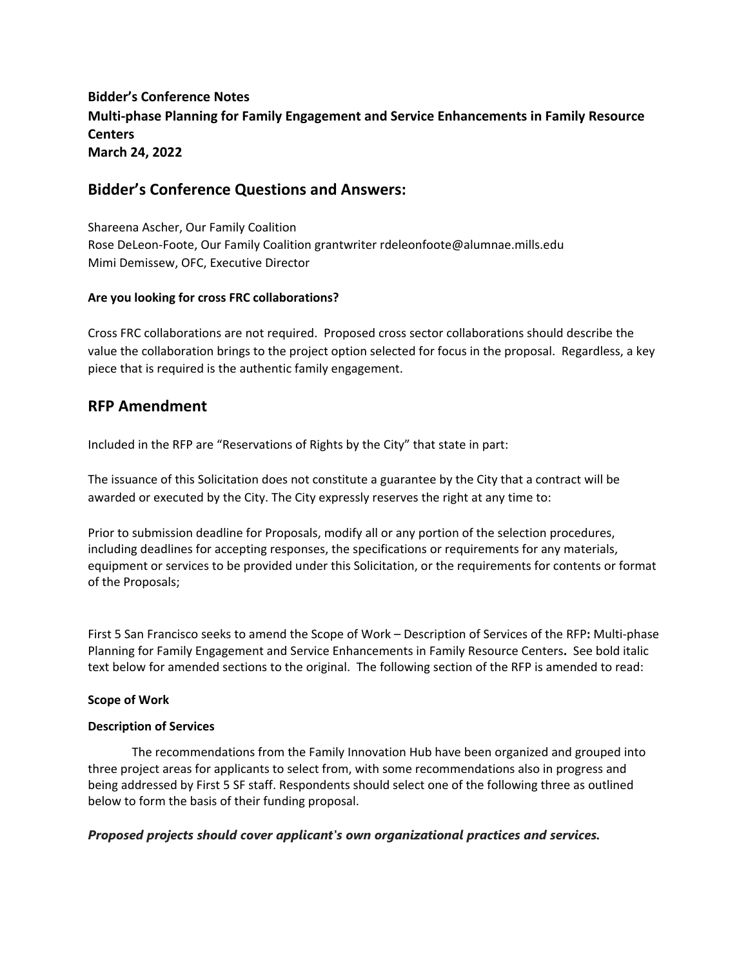# **Bidder's Conference Notes Multi‐phase Planning for Family Engagement and Service Enhancements in Family Resource Centers March 24, 2022**

# **Bidder's Conference Questions and Answers:**

Shareena Ascher, Our Family Coalition Rose DeLeon‐Foote, Our Family Coalition grantwriter rdeleonfoote@alumnae.mills.edu Mimi Demissew, OFC, Executive Director

### **Are you looking for cross FRC collaborations?**

Cross FRC collaborations are not required. Proposed cross sector collaborations should describe the value the collaboration brings to the project option selected for focus in the proposal. Regardless, a key piece that is required is the authentic family engagement.

# **RFP Amendment**

Included in the RFP are "Reservations of Rights by the City" that state in part:

The issuance of this Solicitation does not constitute a guarantee by the City that a contract will be awarded or executed by the City. The City expressly reserves the right at any time to:

Prior to submission deadline for Proposals, modify all or any portion of the selection procedures, including deadlines for accepting responses, the specifications or requirements for any materials, equipment or services to be provided under this Solicitation, or the requirements for contents or format of the Proposals;

First 5 San Francisco seeks to amend the Scope of Work – Description of Services of the RFP**:** Multi‐phase Planning for Family Engagement and Service Enhancements in Family Resource Centers**.**  See bold italic text below for amended sections to the original. The following section of the RFP is amended to read:

#### **Scope of Work**

#### **Description of Services**

The recommendations from the Family Innovation Hub have been organized and grouped into three project areas for applicants to select from, with some recommendations also in progress and being addressed by First 5 SF staff. Respondents should select one of the following three as outlined below to form the basis of their funding proposal.

### *Proposed projects should cover applicant's own organizational practices and services.*